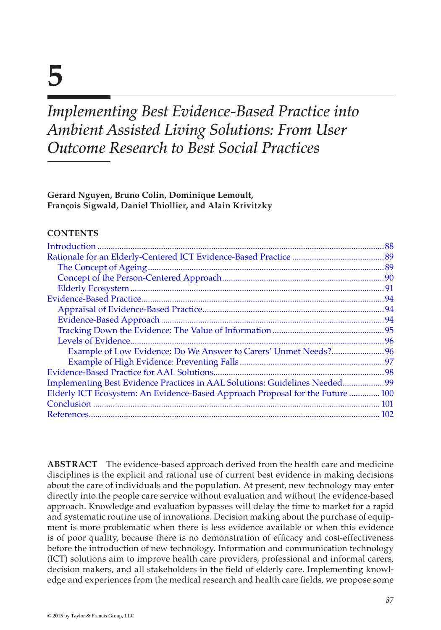# *Implementing Best Evidence-Based Practice into Ambient Assisted Living Solutions: From User Outcome Research to Best Social Practices*

**Gerard Nguyen, Bruno Colin, Dominique Lemoult, François Sigwald, Daniel Thiollier, and Alain Krivitzky**

## **CONTENTS**

| Example of Low Evidence: Do We Answer to Carers' Unmet Needs? 96               |     |
|--------------------------------------------------------------------------------|-----|
|                                                                                |     |
|                                                                                |     |
| Implementing Best Evidence Practices in AAL Solutions: Guidelines Needed 99    |     |
| Elderly ICT Ecosystem: An Evidence-Based Approach Proposal for the Future  100 |     |
|                                                                                |     |
|                                                                                | 102 |
|                                                                                |     |

**Abstract**  The evidence-based approach derived from the health care and medicine disciplines is the explicit and rational use of current best evidence in making decisions about the care of individuals and the population. At present, new technology may enter directly into the people care service without evaluation and without the evidence-based approach. Knowledge and evaluation bypasses will delay the time to market for a rapid and systematic routine use of innovations. Decision making about the purchase of equipment is more problematic when there is less evidence available or when this evidence is of poor quality, because there is no demonstration of efficacy and cost-effectiveness before the introduction of new technology. Information and communication technology (ICT) solutions aim to improve health care providers, professional and informal carers, decision makers, and all stakeholders in the field of elderly care. Implementing knowledge and experiences from the medical research and health care fields, we propose some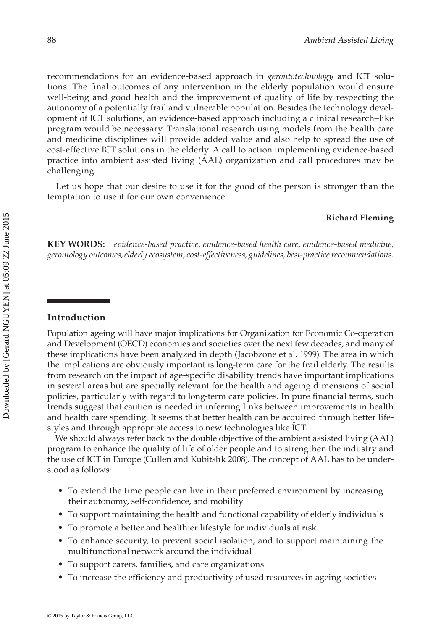<span id="page-1-0"></span>recommendations for an evidence-based approach in *gerontotechnology* and ICT solutions. The final outcomes of any intervention in the elderly population would ensure well-being and good health and the improvement of quality of life by respecting the autonomy of a potentially frail and vulnerable population. Besides the technology development of ICT solutions, an evidence-based approach including a clinical research–like program would be necessary. Translational research using models from the health care and medicine disciplines will provide added value and also help to spread the use of cost-effective ICT solutions in the elderly. A call to action implementing evidence-based practice into ambient assisted living (AAL) organization and call procedures may be challenging.

Let us hope that our desire to use it for the good of the person is stronger than the temptation to use it for our own convenience.

#### **Richard Fleming**

**Key Words:** *evidence-based practice, evidence-based health care, evidence-based medicine, gerontology outcomes, elderly ecosystem, cost-effectiveness, guidelines, best-practice recommendations.*

#### **Introduction**

Population ageing will have major implications for Organization for Economic Co-operation and Development (OECD) economies and societies over the next few decades, and many of these implications have been analyzed in depth (Jacobzone et al. 1999). The area in which the implications are obviously important is long-term care for the frail elderly. The results from research on the impact of age-specific disability trends have important implications in several areas but are specially relevant for the health and ageing dimensions of social policies, particularly with regard to long-term care policies. In pure financial terms, such trends suggest that caution is needed in inferring links between improvements in health and health care spending. It seems that better health can be acquired through better lifestyles and through appropriate access to new technologies like ICT. **EXEY WORDS:** *evides gerontology outcomes, eld*  $\frac{32}{25}$  **EXECUTE 11** and Development (OEC these implications have the implications are obtrom research on the ii in several areas but are policies, particularly we tr

We should always refer back to the double objective of the ambient assisted living (AAL) program to enhance the quality of life of older people and to strengthen the industry and the use of ICT in Europe (Cullen and Kubitshk 2008). The concept of AAL has to be understood as follows:

- To extend the time people can live in their preferred environment by increasing their autonomy, self-confidence, and mobility
- To support maintaining the health and functional capability of elderly individuals
- To promote a better and healthier lifestyle for individuals at risk
- To enhance security, to prevent social isolation, and to support maintaining the multifunctional network around the individual
- To support carers, families, and care organizations
- To increase the efficiency and productivity of used resources in ageing societies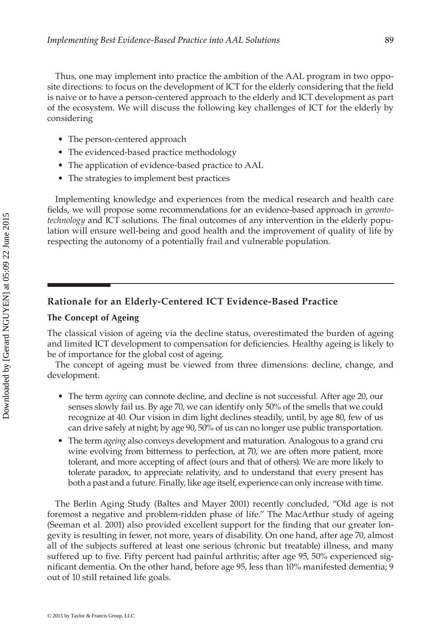<span id="page-2-0"></span>Thus, one may implement into practice the ambition of the AAL program in two opposite directions: to focus on the development of ICT for the elderly considering that the field is naive or to have a person-centered approach to the elderly and ICT development as part of the ecosystem. We will discuss the following key challenges of ICT for the elderly by considering

- The person-centered approach
- The evidenced-based practice methodology
- The application of evidence-based practice to AAL
- The strategies to implement best practices

Implementing knowledge and experiences from the medical research and health care fields, we will propose some recommendations for an evidence-based approach in *gerontotechnology* and ICT solutions. The final outcomes of any intervention in the elderly population will ensure well-being and good health and the improvement of quality of life by respecting the autonomy of a potentially frail and vulnerable population.

## **Rationale for an Elderly-Centered ICT Evidence-Based Practice**

#### **The Concept of Ageing**

The classical vision of ageing via the decline status, overestimated the burden of ageing and limited ICT development to compensation for deficiencies. Healthy ageing is likely to be of importance for the global cost of ageing.

The concept of ageing must be viewed from three dimensions: decline, change, and development.

- The term *ageing* can connote decline, and decline is not successful. After age 20, our senses slowly fail us. By age 70, we can identify only 50% of the smells that we could recognize at 40. Our vision in dim light declines steadily, until, by age 80, few of us can drive safely at night; by age 90, 50% of us can no longer use public transportation.
- • The term *ageing* also conveys development and maturation. Analogous to a grand cru wine evolving from bitterness to perfection, at 70, we are often more patient, more tolerant, and more accepting of affect (ours and that of others). We are more likely to tolerate paradox, to appreciate relativity, and to understand that every present has both a past and a future. Finally, like age itself, experience can only increase with time.

The Berlin Aging Study (Baltes and Mayer 2001) recently concluded, "Old age is not foremost a negative and problem-ridden phase of life." The MacArthur study of ageing (Seeman et al. 2001) also provided excellent support for the finding that our greater longevity is resulting in fewer, not more, years of disability. On one hand, after age 70, almost all of the subjects suffered at least one serious (chronic but treatable) illness, and many suffered up to five. Fifty percent had painful arthritis; after age 95, 50% experienced significant dementia. On the other hand, before age 95, less than 10% manifested dementia; 9 out of 10 still retained life goals. Example the interest of the concept of Agein<br>
The Concept of Agein<br>
The Concept of Agein<br>
The Concept of Agein<br>
The Concept of Agein<br>
The concept of Agein<br>
The concept of Agein<br>
The concept of agein<br>
development.<br>
• The t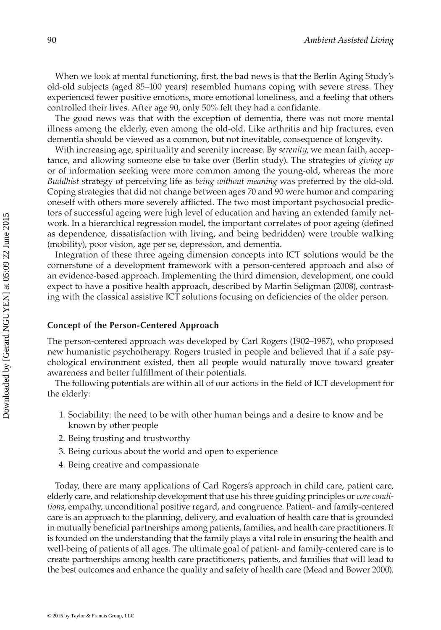<span id="page-3-0"></span>When we look at mental functioning, first, the bad news is that the Berlin Aging Study's old-old subjects (aged 85–100 years) resembled humans coping with severe stress. They experienced fewer positive emotions, more emotional loneliness, and a feeling that others controlled their lives. After age 90, only 50% felt they had a confidante.

The good news was that with the exception of dementia, there was not more mental illness among the elderly, even among the old-old. Like arthritis and hip fractures, even dementia should be viewed as a common, but not inevitable, consequence of longevity.

With increasing age, spirituality and serenity increase. By *serenity*, we mean faith, acceptance, and allowing someone else to take over (Berlin study). The strategies of *giving up* or of information seeking were more common among the young-old, whereas the more *Buddhist* strategy of perceiving life as *being without meaning* was preferred by the old-old. Coping strategies that did not change between ages 70 and 90 were humor and comparing oneself with others more severely afflicted. The two most important psychosocial predictors of successful ageing were high level of education and having an extended family network. In a hierarchical regression model, the important correlates of poor ageing (defined as dependence, dissatisfaction with living, and being bedridden) were trouble walking (mobility), poor vision, age per se, depression, and dementia.

Integration of these three ageing dimension concepts into ICT solutions would be the cornerstone of a development framework with a person-centered approach and also of an evidence-based approach. Implementing the third dimension, development, one could expect to have a positive health approach, described by Martin Seligman (2008), contrasting with the classical assistive ICT solutions focusing on deficiencies of the older person.

## **Concept of the Person-Centered Approach**

The person-centered approach was developed by Carl Rogers (1902–1987), who proposed new humanistic psychotherapy. Rogers trusted in people and believed that if a safe psychological environment existed, then all people would naturally move toward greater awareness and better fulfillment of their potentials.

The following potentials are within all of our actions in the field of ICT development for the elderly:

- 1. Sociability: the need to be with other human beings and a desire to know and be known by other people
- 2. Being trusting and trustworthy
- 3. Being curious about the world and open to experience
- 4. Being creative and compassionate

Today, there are many applications of Carl Rogers's approach in child care, patient care, elderly care, and relationship development that use his three guiding principles or *core conditions*, empathy, unconditional positive regard, and congruence. Patient- and family-centered care is an approach to the planning, delivery, and evaluation of health care that is grounded in mutually beneficial partnerships among patients, families, and health care practitioners. It is founded on the understanding that the family plays a vital role in ensuring the health and well-being of patients of all ages. The ultimate goal of patient- and family-centered care is to create partnerships among health care practitioners, patients, and families that will lead to the best outcomes and enhance the quality and safety of health care (Mead and Bower 2000). orial states of successful ageir<br>
work. In a hierarchical<br>
as dependence, dissating<br>
(mobility), poor vision,<br>
Integration of these<br>
cornerstone of a devel<br>
an evidence-based app<br>
expect to have a positi<br>
ing with the cl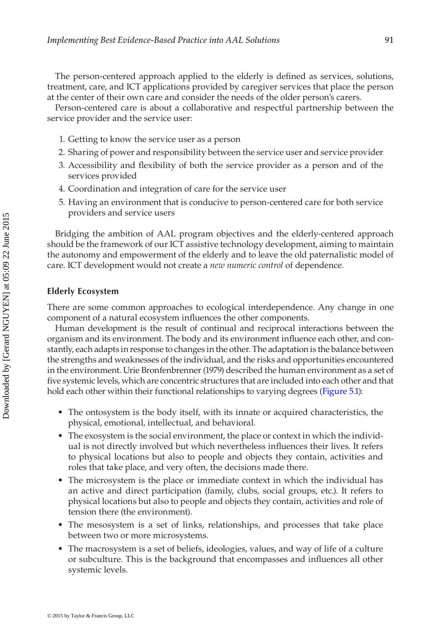<span id="page-4-0"></span>The person-centered approach applied to the elderly is defined as services, solutions, treatment, care, and ICT applications provided by caregiver services that place the person at the center of their own care and consider the needs of the older person's carers.

Person-centered care is about a collaborative and respectful partnership between the service provider and the service user:

- 1. Getting to know the service user as a person
- 2. Sharing of power and responsibility between the service user and service provider
- 3. Accessibility and flexibility of both the service provider as a person and of the services provided
- 4. Coordination and integration of care for the service user
- 5. Having an environment that is conducive to person-centered care for both service providers and service users

Bridging the ambition of AAL program objectives and the elderly-centered approach should be the framework of our ICT assistive technology development, aiming to maintain the autonomy and empowerment of the elderly and to leave the old paternalistic model of care. ICT development would not create a *new numeric control* of dependence.

#### **Elderly Ecosystem**

There are some common approaches to ecological interdependence. Any change in one component of a natural ecosystem influences the other components.

Human development is the result of continual and reciprocal interactions between the organism and its environment. The body and its environment influence each other, and constantly, each adapts in response to changes in the other. The adaptation is the balance between the strengths and weaknesses of the individual, and the risks and opportunities encountered in the environment. Urie Bronfenbrenner (1979) described the human environment as a set of five systemic levels, which are concentric structures that are included into each other and that hold each other within their functional relationships to varying degrees [\(Figure 5.1\):](#page-5-0) providers and set<br>  $\frac{1}{20}$  Bridging the ambititive should be the frameword the autonomy and employment<br>  $\frac{1}{20}$  Elderly Ecosystem<br>
There are some communications<br>  $\frac{1}{20}$  There are some communications<br>  $\frac{1}{20}$ 

- The ontosystem is the body itself, with its innate or acquired characteristics, the physical, emotional, intellectual, and behavioral.
- The exosystem is the social environment, the place or context in which the individual is not directly involved but which nevertheless influences their lives. It refers to physical locations but also to people and objects they contain, activities and roles that take place, and very often, the decisions made there.
- The microsystem is the place or immediate context in which the individual has an active and direct participation (family, clubs, social groups, etc.). It refers to physical locations but also to people and objects they contain, activities and role of tension there (the environment).
- The mesosystem is a set of links, relationships, and processes that take place between two or more microsystems.
- The macrosystem is a set of beliefs, ideologies, values, and way of life of a culture or subculture. This is the background that encompasses and influences all other systemic levels.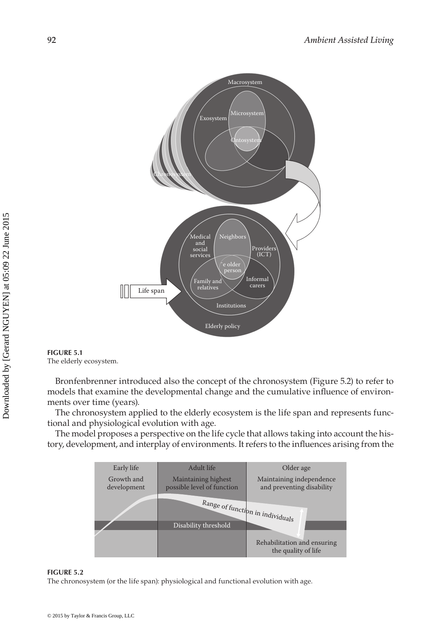<span id="page-5-0"></span>

**Figure 5.1** The elderly ecosystem.

Bronfenbrenner introduced also the concept of the chronosystem (Figure 5.2) to refer to models that examine the developmental change and the cumulative influence of environments over time (years).

The chronosystem applied to the elderly ecosystem is the life span and represents functional and physiological evolution with age.

The model proposes a perspective on the life cycle that allows taking into account the history, development, and interplay of environments. It refers to the influences arising from the



#### **Figure 5.2**

The chronosystem (or the life span): physiological and functional evolution with age.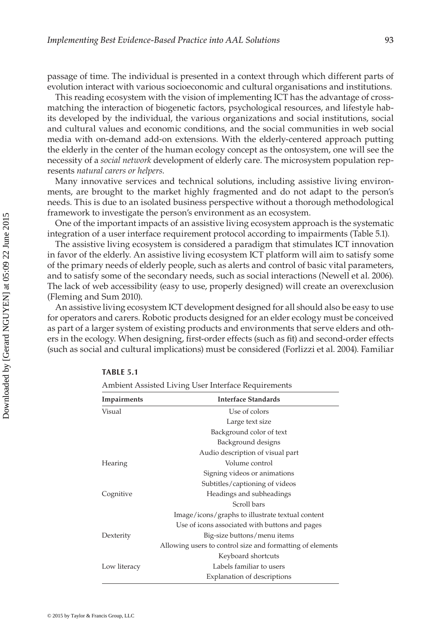passage of time. The individual is presented in a context through which different parts of evolution interact with various socioeconomic and cultural organisations and institutions.

This reading ecosystem with the vision of implementing ICT has the advantage of crossmatching the interaction of biogenetic factors, psychological resources, and lifestyle habits developed by the individual, the various organizations and social institutions, social and cultural values and economic conditions, and the social communities in web social media with on-demand add-on extensions. With the elderly-centered approach putting the elderly in the center of the human ecology concept as the ontosystem, one will see the necessity of a *social network* development of elderly care. The microsystem population represents *natural carers or helpers*.

Many innovative services and technical solutions, including assistive living environments, are brought to the market highly fragmented and do not adapt to the person's needs. This is due to an isolated business perspective without a thorough methodological framework to investigate the person's environment as an ecosystem.

One of the important impacts of an assistive living ecosystem approach is the systematic integration of a user interface requirement protocol according to impairments (Table 5.1).

The assistive living ecosystem is considered a paradigm that stimulates ICT innovation in favor of the elderly. An assistive living ecosystem ICT platform will aim to satisfy some of the primary needs of elderly people, such as alerts and control of basic vital parameters, and to satisfy some of the secondary needs, such as social interactions (Newell et al. 2006). The lack of web accessibility (easy to use, properly designed) will create an overexclusion (Fleming and Sum 2010).

An assistive living ecosystem ICT development designed for all should also be easy to use for operators and carers. Robotic products designed for an elder ecology must be conceived as part of a larger system of existing products and environments that serve elders and others in the ecology. When designing, first-order effects (such as fit) and second-order effects (such as social and cultural implications) must be considered (Forlizzi et al. 2004). Familiar

| Downloaded by [Gerard NGUYEN] at 05:09 22 June 2015 | framework to investigate the person's environment as an ecosystem.<br>One of the important impacts of an assistive living ecosystem approach is<br>integration of a user interface requirement protocol according to impairmer<br>The assistive living ecosystem is considered a paradigm that stimulates I<br>in favor of the elderly. An assistive living ecosystem ICT platform will aim t<br>of the primary needs of elderly people, such as alerts and control of basic vit<br>and to satisfy some of the secondary needs, such as social interactions (New<br>The lack of web accessibility (easy to use, properly designed) will create an<br>(Fleming and Sum 2010).<br>An assistive living ecosystem ICT development designed for all should also<br>for operators and carers. Robotic products designed for an elder ecology mus<br>as part of a larger system of existing products and environments that serve e<br>ers in the ecology. When designing, first-order effects (such as fit) and secone<br>(such as social and cultural implications) must be considered (Forlizzi et al. 2 |                                                           |  |  |  |
|-----------------------------------------------------|-----------------------------------------------------------------------------------------------------------------------------------------------------------------------------------------------------------------------------------------------------------------------------------------------------------------------------------------------------------------------------------------------------------------------------------------------------------------------------------------------------------------------------------------------------------------------------------------------------------------------------------------------------------------------------------------------------------------------------------------------------------------------------------------------------------------------------------------------------------------------------------------------------------------------------------------------------------------------------------------------------------------------------------------------------------------------------------------------------|-----------------------------------------------------------|--|--|--|
|                                                     | <b>TABLE 5.1</b>                                                                                                                                                                                                                                                                                                                                                                                                                                                                                                                                                                                                                                                                                                                                                                                                                                                                                                                                                                                                                                                                                    |                                                           |  |  |  |
|                                                     |                                                                                                                                                                                                                                                                                                                                                                                                                                                                                                                                                                                                                                                                                                                                                                                                                                                                                                                                                                                                                                                                                                     | Ambient Assisted Living User Interface Requirements       |  |  |  |
|                                                     | Impairments                                                                                                                                                                                                                                                                                                                                                                                                                                                                                                                                                                                                                                                                                                                                                                                                                                                                                                                                                                                                                                                                                         | <b>Interface Standards</b>                                |  |  |  |
|                                                     | Visual                                                                                                                                                                                                                                                                                                                                                                                                                                                                                                                                                                                                                                                                                                                                                                                                                                                                                                                                                                                                                                                                                              | Use of colors                                             |  |  |  |
|                                                     |                                                                                                                                                                                                                                                                                                                                                                                                                                                                                                                                                                                                                                                                                                                                                                                                                                                                                                                                                                                                                                                                                                     | Large text size                                           |  |  |  |
|                                                     |                                                                                                                                                                                                                                                                                                                                                                                                                                                                                                                                                                                                                                                                                                                                                                                                                                                                                                                                                                                                                                                                                                     | Background color of text                                  |  |  |  |
|                                                     |                                                                                                                                                                                                                                                                                                                                                                                                                                                                                                                                                                                                                                                                                                                                                                                                                                                                                                                                                                                                                                                                                                     | Background designs                                        |  |  |  |
|                                                     |                                                                                                                                                                                                                                                                                                                                                                                                                                                                                                                                                                                                                                                                                                                                                                                                                                                                                                                                                                                                                                                                                                     | Audio description of visual part                          |  |  |  |
|                                                     | Hearing                                                                                                                                                                                                                                                                                                                                                                                                                                                                                                                                                                                                                                                                                                                                                                                                                                                                                                                                                                                                                                                                                             | Volume control                                            |  |  |  |
|                                                     |                                                                                                                                                                                                                                                                                                                                                                                                                                                                                                                                                                                                                                                                                                                                                                                                                                                                                                                                                                                                                                                                                                     | Signing videos or animations                              |  |  |  |
|                                                     |                                                                                                                                                                                                                                                                                                                                                                                                                                                                                                                                                                                                                                                                                                                                                                                                                                                                                                                                                                                                                                                                                                     | Subtitles/captioning of videos                            |  |  |  |
|                                                     | Cognitive                                                                                                                                                                                                                                                                                                                                                                                                                                                                                                                                                                                                                                                                                                                                                                                                                                                                                                                                                                                                                                                                                           | Headings and subheadings                                  |  |  |  |
|                                                     |                                                                                                                                                                                                                                                                                                                                                                                                                                                                                                                                                                                                                                                                                                                                                                                                                                                                                                                                                                                                                                                                                                     | Scroll bars                                               |  |  |  |
|                                                     |                                                                                                                                                                                                                                                                                                                                                                                                                                                                                                                                                                                                                                                                                                                                                                                                                                                                                                                                                                                                                                                                                                     | Image/icons/graphs to illustrate textual content          |  |  |  |
|                                                     |                                                                                                                                                                                                                                                                                                                                                                                                                                                                                                                                                                                                                                                                                                                                                                                                                                                                                                                                                                                                                                                                                                     | Use of icons associated with buttons and pages            |  |  |  |
|                                                     | Dexterity                                                                                                                                                                                                                                                                                                                                                                                                                                                                                                                                                                                                                                                                                                                                                                                                                                                                                                                                                                                                                                                                                           | Big-size buttons/menu items                               |  |  |  |
|                                                     |                                                                                                                                                                                                                                                                                                                                                                                                                                                                                                                                                                                                                                                                                                                                                                                                                                                                                                                                                                                                                                                                                                     | Allowing users to control size and formatting of elements |  |  |  |
|                                                     |                                                                                                                                                                                                                                                                                                                                                                                                                                                                                                                                                                                                                                                                                                                                                                                                                                                                                                                                                                                                                                                                                                     | Keyboard shortcuts                                        |  |  |  |
|                                                     | Low literacy                                                                                                                                                                                                                                                                                                                                                                                                                                                                                                                                                                                                                                                                                                                                                                                                                                                                                                                                                                                                                                                                                        | Labels familiar to users                                  |  |  |  |
|                                                     |                                                                                                                                                                                                                                                                                                                                                                                                                                                                                                                                                                                                                                                                                                                                                                                                                                                                                                                                                                                                                                                                                                     | Explanation of descriptions                               |  |  |  |
|                                                     | © 2015 by Taylor & Francis Group, LLC                                                                                                                                                                                                                                                                                                                                                                                                                                                                                                                                                                                                                                                                                                                                                                                                                                                                                                                                                                                                                                                               |                                                           |  |  |  |

#### **Table 5.1**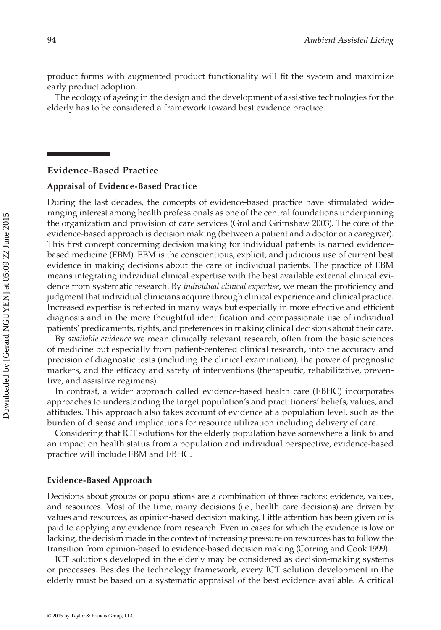<span id="page-7-0"></span>product forms with augmented product functionality will fit the system and maximize early product adoption.

The ecology of ageing in the design and the development of assistive technologies for the elderly has to be considered a framework toward best evidence practice.

#### **Evidence-Based Practice**

#### **Appraisal of Evidence-Based Practice**

During the last decades, the concepts of evidence-based practice have stimulated wideranging interest among health professionals as one of the central foundations underpinning the organization and provision of care services (Grol and Grimshaw 2003). The core of the evidence-based approach is decision making (between a patient and a doctor or a caregiver). This first concept concerning decision making for individual patients is named evidencebased medicine (EBM). EBM is the conscientious, explicit, and judicious use of current best evidence in making decisions about the care of individual patients. The practice of EBM means integrating individual clinical expertise with the best available external clinical evidence from systematic research. By *individual clinical expertise*, we mean the proficiency and judgment that individual clinicians acquire through clinical experience and clinical practice. Increased expertise is reflected in many ways but especially in more effective and efficient diagnosis and in the more thoughtful identification and compassionate use of individual patients' predicaments, rights, and preferences in making clinical decisions about their care. Example the organization and p<br>evidence-based approached approached approximately This first concept concept concept concept concept concept concept means integrating indidence from systematic independent that individual

By *available evidence* we mean clinically relevant research, often from the basic sciences of medicine but especially from patient-centered clinical research, into the accuracy and precision of diagnostic tests (including the clinical examination), the power of prognostic markers, and the efficacy and safety of interventions (therapeutic, rehabilitative, preventive, and assistive regimens).

In contrast, a wider approach called evidence-based health care (EBHC) incorporates approaches to understanding the target population's and practitioners' beliefs, values, and attitudes. This approach also takes account of evidence at a population level, such as the burden of disease and implications for resource utilization including delivery of care.

Considering that ICT solutions for the elderly population have somewhere a link to and an impact on health status from a population and individual perspective, evidence-based practice will include EBM and EBHC.

#### **Evidence-Based Approach**

Decisions about groups or populations are a combination of three factors: evidence, values, and resources. Most of the time, many decisions (i.e., health care decisions) are driven by values and resources, as opinion-based decision making. Little attention has been given or is paid to applying any evidence from research. Even in cases for which the evidence is low or lacking, the decision made in the context of increasing pressure on resources has to follow the transition from opinion-based to evidence-based decision making (Corring and Cook 1999).

ICT solutions developed in the elderly may be considered as decision-making systems or processes. Besides the technology framework, every ICT solution development in the elderly must be based on a systematic appraisal of the best evidence available. A critical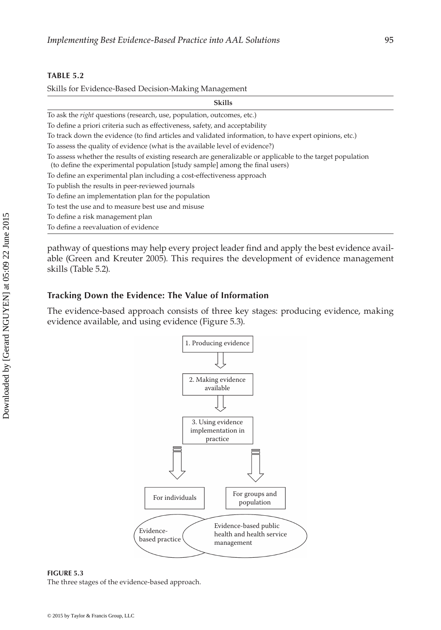#### <span id="page-8-0"></span>**Table 5.2**

Skills for Evidence-Based Decision-Making Management

| <b>Skills</b>                                                                                                                                                                               |
|---------------------------------------------------------------------------------------------------------------------------------------------------------------------------------------------|
| To ask the <i>right</i> questions (research, use, population, outcomes, etc.)                                                                                                               |
| To define a priori criteria such as effectiveness, safety, and acceptability                                                                                                                |
| To track down the evidence (to find articles and validated information, to have expert opinions, etc.)                                                                                      |
| To assess the quality of evidence (what is the available level of evidence?)                                                                                                                |
| To assess whether the results of existing research are generalizable or applicable to the target population<br>(to define the experimental population [study sample] among the final users) |
| To define an experimental plan including a cost-effectiveness approach                                                                                                                      |
| To publish the results in peer-reviewed journals                                                                                                                                            |
| To define an implementation plan for the population                                                                                                                                         |
| To test the use and to measure best use and misuse                                                                                                                                          |
| To define a risk management plan                                                                                                                                                            |
| To define a reevaluation of evidence                                                                                                                                                        |

pathway of questions may help every project leader find and apply the best evidence available (Green and Kreuter 2005). This requires the development of evidence management skills (Table 5.2). To define a risk management<br>
To define a reevaluation of e<br>
able (Green and Kreut<br>
skills (Table 5.2).<br>
Tracking Down the Ev<br>
The evidence-based a<br>
evidence available, and<br>
evidence available, and<br>  $\sum_{i=1}^{\infty}$ <br>  $\sum_{i=1$ 

## **Tracking Down the Evidence: The Value of Information**

The evidence-based approach consists of three key stages: producing evidence, making evidence available, and using evidence (Figure 5.3).



**Figure 5.3**

The three stages of the evidence-based approach.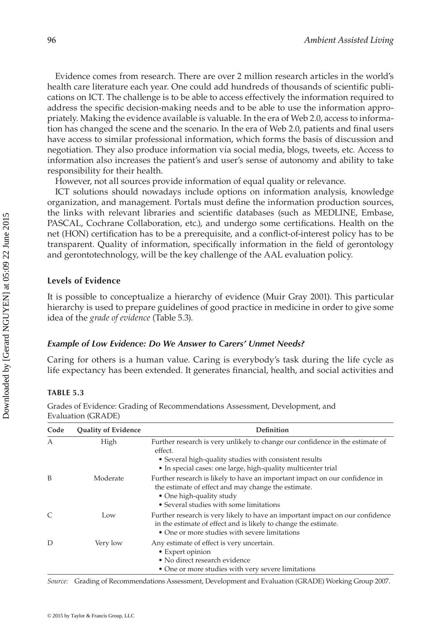<span id="page-9-0"></span>Evidence comes from research. There are over 2 million research articles in the world's health care literature each year. One could add hundreds of thousands of scientific publications on ICT. The challenge is to be able to access effectively the information required to address the specific decision-making needs and to be able to use the information appropriately. Making the evidence available is valuable. In the era of Web 2.0, access to information has changed the scene and the scenario. In the era of Web 2.0, patients and final users have access to similar professional information, which forms the basis of discussion and negotiation. They also produce information via social media, blogs, tweets, etc. Access to information also increases the patient's and user's sense of autonomy and ability to take responsibility for their health.

However, not all sources provide information of equal quality or relevance.

ICT solutions should nowadays include options on information analysis, knowledge organization, and management. Portals must define the information production sources, the links with relevant libraries and scientific databases (such as MEDLINE, Embase, PASCAL, Cochrane Collaboration, etc.), and undergo some certifications. Health on the net (HON) certification has to be a prerequisite, and a conflict-of-interest policy has to be transparent. Quality of information, specifically information in the field of gerontology and gerontotechnology, will be the key challenge of the AAL evaluation policy.

## **Levels of Evidence**

## *Example of Low Evidence: Do We Answer to Carers' Unmet Needs?*

## **Table 5.3**

| the links with relevant libraries and scientific databases (such as MEDLINE, Embase,<br>PASCAL, Cochrane Collaboration, etc.), and undergo some certifications. Health on the<br>net (HON) certification has to be a prerequisite, and a conflict-of-interest policy has to be<br>transparent. Quality of information, specifically information in the field of gerontology<br>and gerontotechnology, will be the key challenge of the AAL evaluation policy. |                            |                                                                                                                                                                                                                                                                                            |  |  |
|---------------------------------------------------------------------------------------------------------------------------------------------------------------------------------------------------------------------------------------------------------------------------------------------------------------------------------------------------------------------------------------------------------------------------------------------------------------|----------------------------|--------------------------------------------------------------------------------------------------------------------------------------------------------------------------------------------------------------------------------------------------------------------------------------------|--|--|
|                                                                                                                                                                                                                                                                                                                                                                                                                                                               | <b>Levels of Evidence</b>  |                                                                                                                                                                                                                                                                                            |  |  |
| It is possible to conceptualize a hierarchy of evidence (Muir Gray 2001). This particular<br>hierarchy is used to prepare guidelines of good practice in medicine in order to give some<br>idea of the grade of evidence (Table 5.3).                                                                                                                                                                                                                         |                            |                                                                                                                                                                                                                                                                                            |  |  |
| <b>Example of Low Evidence: Do We Answer to Carers' Unmet Needs?</b>                                                                                                                                                                                                                                                                                                                                                                                          |                            |                                                                                                                                                                                                                                                                                            |  |  |
| <b>TABLE 5.3</b>                                                                                                                                                                                                                                                                                                                                                                                                                                              |                            | Caring for others is a human value. Caring is everybody's task during the life cycle as<br>life expectancy has been extended. It generates financial, health, and social activities and                                                                                                    |  |  |
|                                                                                                                                                                                                                                                                                                                                                                                                                                                               |                            |                                                                                                                                                                                                                                                                                            |  |  |
|                                                                                                                                                                                                                                                                                                                                                                                                                                                               | Evaluation (GRADE)         | Grades of Evidence: Grading of Recommendations Assessment, Development, and                                                                                                                                                                                                                |  |  |
| Code                                                                                                                                                                                                                                                                                                                                                                                                                                                          | <b>Quality of Evidence</b> | Definition                                                                                                                                                                                                                                                                                 |  |  |
| А                                                                                                                                                                                                                                                                                                                                                                                                                                                             | High                       | effect.<br>• Several high-quality studies with consistent results<br>· In special cases: one large, high-quality multicenter trial                                                                                                                                                         |  |  |
| B                                                                                                                                                                                                                                                                                                                                                                                                                                                             | Moderate                   | Further research is very unlikely to change our confidence in the estimate of<br>Further research is likely to have an important impact on our confidence in<br>the estimate of effect and may change the estimate.<br>• One high-quality study<br>• Several studies with some limitations |  |  |
| C                                                                                                                                                                                                                                                                                                                                                                                                                                                             | Low                        | Further research is very likely to have an important impact on our confidence<br>in the estimate of effect and is likely to change the estimate.<br>• One or more studies with severe limitations                                                                                          |  |  |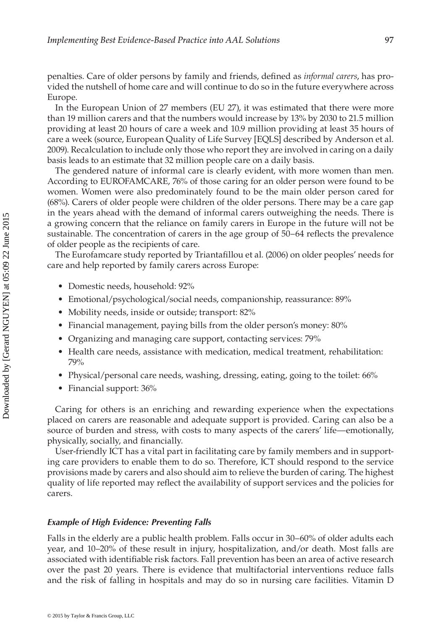<span id="page-10-0"></span>penalties. Care of older persons by family and friends, defined as *informal carers*, has provided the nutshell of home care and will continue to do so in the future everywhere across Europe.

In the European Union of 27 members (EU 27), it was estimated that there were more than 19 million carers and that the numbers would increase by 13% by 2030 to 21.5 million providing at least 20 hours of care a week and 10.9 million providing at least 35 hours of care a week (source, European Quality of Life Survey [EQLS] described by Anderson et al. 2009). Recalculation to include only those who report they are involved in caring on a daily basis leads to an estimate that 32 million people care on a daily basis.

The gendered nature of informal care is clearly evident, with more women than men. According to EUROFAMCARE, 76% of those caring for an older person were found to be women. Women were also predominately found to be the main older person cared for (68%). Carers of older people were children of the older persons. There may be a care gap in the years ahead with the demand of informal carers outweighing the needs. There is a growing concern that the reliance on family carers in Europe in the future will not be sustainable. The concentration of carers in the age group of 50–64 reflects the prevalence of older people as the recipients of care.

The Eurofamcare study reported by Triantafillou et al. (2006) on older peoples' needs for care and help reported by family carers across Europe:

- Domestic needs, household: 92%
- Emotional/psychological/social needs, companionship, reassurance: 89%
- Mobility needs, inside or outside; transport: 82%
- Financial management, paying bills from the older person's money: 80%
- • Organizing and managing care support, contacting services: 79%
- • Health care needs, assistance with medication, medical treatment, rehabilitation: 79%
- Physical/personal care needs, washing, dressing, eating, going to the toilet: 66%
- Financial support: 36%

Caring for others is an enriching and rewarding experience when the expectations placed on carers are reasonable and adequate support is provided. Caring can also be a source of burden and stress, with costs to many aspects of the carers' life—emotionally, physically, socially, and financially.

User-friendly ICT has a vital part in facilitating care by family members and in supporting care providers to enable them to do so. Therefore, ICT should respond to the service provisions made by carers and also should aim to relieve the burden of caring. The highest quality of life reported may reflect the availability of support services and the policies for carers.

## *Example of High Evidence: Preventing Falls*

Falls in the elderly are a public health problem. Falls occur in 30–60% of older adults each year, and 10–20% of these result in injury, hospitalization, and/or death. Most falls are associated with identifiable risk factors. Fall prevention has been an area of active research over the past 20 years. There is evidence that multifactorial interventions reduce falls and the risk of falling in hospitals and may do so in nursing care facilities. Vitamin D or a growing concern that sustainable. The concern that sustainable in the concern of the Eurofamcare studies of the Eurofamcare studies of the Mobility needs, i.e. Financial manage of Depanizing and i.e. Health care nee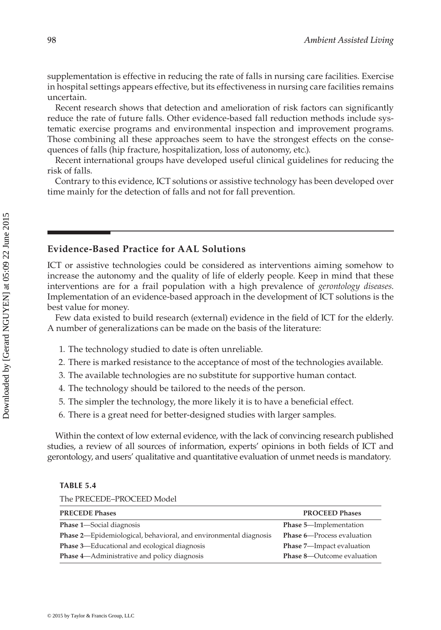<span id="page-11-0"></span>supplementation is effective in reducing the rate of falls in nursing care facilities. Exercise in hospital settings appears effective, but its effectiveness in nursing care facilities remains uncertain.

Recent research shows that detection and amelioration of risk factors can significantly reduce the rate of future falls. Other evidence-based fall reduction methods include systematic exercise programs and environmental inspection and improvement programs. Those combining all these approaches seem to have the strongest effects on the consequences of falls (hip fracture, hospitalization, loss of autonomy, etc.).

Recent international groups have developed useful clinical guidelines for reducing the risk of falls.

Contrary to this evidence, ICT solutions or assistive technology has been developed over time mainly for the detection of falls and not for fall prevention.

## **Evidence-Based Practice for AAL Solutions**

ICT or assistive technologies could be considered as interventions aiming somehow to increase the autonomy and the quality of life of elderly people. Keep in mind that these interventions are for a frail population with a high prevalence of *gerontology diseases*. Implementation of an evidence-based approach in the development of ICT solutions is the best value for money. **Evidence-Based Pr.**<br>
CCT or assistive techn<br>
increase the autonomy<br>
interventions are for<br>
Implementation of an tomory.<br>
Few data existed to 1<br>
A number of generaliz<br>
1. The technology s<br>
2. There is marked 1<br>
3. The ava

Few data existed to build research (external) evidence in the field of ICT for the elderly. A number of generalizations can be made on the basis of the literature:

- 1. The technology studied to date is often unreliable.
- 2. There is marked resistance to the acceptance of most of the technologies available.
- 3. The available technologies are no substitute for supportive human contact.
- 4. The technology should be tailored to the needs of the person.
- 5. The simpler the technology, the more likely it is to have a beneficial effect.
- 6. There is a great need for better-designed studies with larger samples.

Within the context of low external evidence, with the lack of convincing research published studies, a review of all sources of information, experts' opinions in both fields of ICT and gerontology, and users' qualitative and quantitative evaluation of unmet needs is mandatory.

#### **Table 5.4**

The PRECEDE–PROCEED Model

| <b>PRECEDE Phases</b>                                                   | <b>PROCEED Phases</b>             |
|-------------------------------------------------------------------------|-----------------------------------|
| <b>Phase 1</b> —Social diagnosis                                        | Phase 5-Implementation            |
| <b>Phase 2—Epidemiological, behavioral, and environmental diagnosis</b> | <b>Phase 6-Process evaluation</b> |
| <b>Phase 3—Educational and ecological diagnosis</b>                     | <b>Phase 7—Impact evaluation</b>  |
| <b>Phase 4—Administrative and policy diagnosis</b>                      | <b>Phase 8-Outcome evaluation</b> |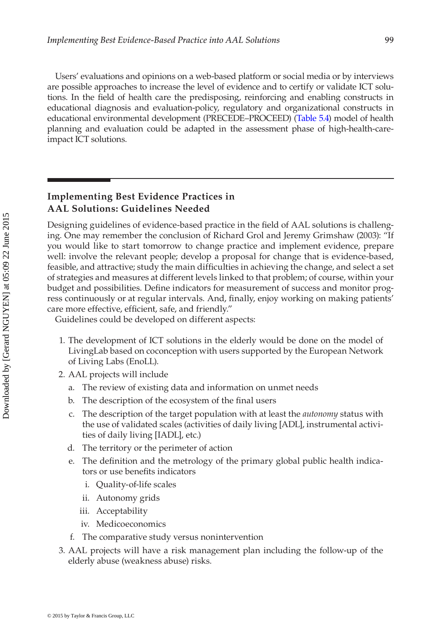<span id="page-12-0"></span>Users' evaluations and opinions on a web-based platform or social media or by interviews are possible approaches to increase the level of evidence and to certify or validate ICT solutions. In the field of health care the predisposing, reinforcing and enabling constructs in educational diagnosis and evaluation-policy, regulatory and organizational constructs in educational environmental development (PRECEDE–PROCEED) [\(Table 5.4\)](#page-11-0) model of health planning and evaluation could be adapted in the assessment phase of high-health-careimpact ICT solutions.

# **Implementing Best Evidence Practices in AAL Solutions: Guidelines Needed**

Designing guidelines of evidence-based practice in the field of AAL solutions is challenging. One may remember the conclusion of Richard Grol and Jeremy Grimshaw (2003): "If you would like to start tomorrow to change practice and implement evidence, prepare well: involve the relevant people; develop a proposal for change that is evidence-based, feasible, and attractive; study the main difficulties in achieving the change, and select a set of strategies and measures at different levels linked to that problem; of course, within your budget and possibilities. Define indicators for measurement of success and monitor progress continuously or at regular intervals. And, finally, enjoy working on making patients' care more effective, efficient, safe, and friendly." **EXECUTE FRANCIS CONTROLL CONTROLL CONTROLL CONTROLL CONTROLL DEVIDENT CONTROLL DEVIDENCIS CONTROLL DEVIDENCIS CONTROLL DEVIDENCIS CONTROLL DEVIDENCIS CONTROLL DEVIDENCIS CONTROLL DEVIDENCIS CONTROLL DEVIDENCIS CONTROLL D** 

Guidelines could be developed on different aspects:

- 1. The development of ICT solutions in the elderly would be done on the model of LivingLab based on coconception with users supported by the European Network of Living Labs (EnoLL).
- 2. AAL projects will include
	- a. The review of existing data and information on unmet needs
	- b. The description of the ecosystem of the final users
	- c. The description of the target population with at least the *autonomy* status with the use of validated scales (activities of daily living [ADL], instrumental activities of daily living [IADL], etc.)
	- d. The territory or the perimeter of action
	- The definition and the metrology of the primary global public health indicators or use benefits indicators
		- i. Quality-of-life scales
		- ii. Autonomy grids
		- iii. Acceptability
		- iv. Medicoeconomics
	- The comparative study versus nonintervention
- 3. AAL projects will have a risk management plan including the follow-up of the elderly abuse (weakness abuse) risks.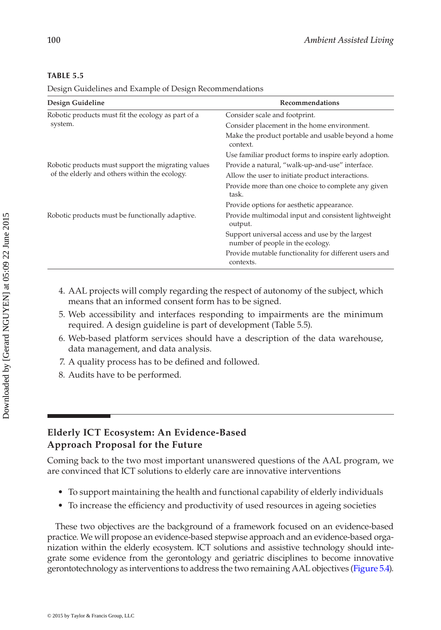## <span id="page-13-0"></span>**Table 5.5**

Design Guidelines and Example of Design Recommendations

| Design Guideline                                                                    | Recommendations                                                                              |
|-------------------------------------------------------------------------------------|----------------------------------------------------------------------------------------------|
| Robotic products must fit the ecology as part of a                                  | Consider scale and footprint.                                                                |
| system.                                                                             | Consider placement in the home environment.                                                  |
|                                                                                     | Make the product portable and usable beyond a home<br>context.                               |
|                                                                                     | Use familiar product forms to inspire early adoption.                                        |
| Robotic products must support the migrating values                                  | Provide a natural, "walk-up-and-use" interface.                                              |
| of the elderly and others within the ecology.                                       | Allow the user to initiate product interactions.                                             |
|                                                                                     | Provide more than one choice to complete any given<br>task.                                  |
|                                                                                     | Provide options for aesthetic appearance.                                                    |
| Robotic products must be functionally adaptive.                                     | Provide multimodal input and consistent lightweight<br>output.                               |
|                                                                                     | Support universal access and use by the largest                                              |
|                                                                                     | number of people in the ecology.                                                             |
|                                                                                     | Provide mutable functionality for different users and<br>contexts.                           |
|                                                                                     | 4. AAL projects will comply regarding the respect of autonomy of the subject, which          |
| means that an informed consent form has to be signed.                               |                                                                                              |
| required. A design guideline is part of development (Table 5.5).                    | 5. Web accessibility and interfaces responding to impairments are the minimum                |
|                                                                                     | 6. Web-based platform services should have a description of the data warehouse,              |
| data management, and data analysis.                                                 |                                                                                              |
| 7. A quality process has to be defined and followed.                                |                                                                                              |
|                                                                                     |                                                                                              |
| 8. Audits have to be performed.                                                     |                                                                                              |
|                                                                                     |                                                                                              |
|                                                                                     |                                                                                              |
| Elderly ICT Ecosystem: An Evidence-Based                                            |                                                                                              |
| <b>Approach Proposal for the Future</b>                                             |                                                                                              |
| are convinced that ICT solutions to elderly care are innovative interventions       | Coming back to the two most important unanswered questions of the AAL program, we            |
|                                                                                     | To support maintaining the health and functional capability of elderly individuals           |
| • To increase the efficiency and productivity of used resources in ageing societies |                                                                                              |
|                                                                                     | These two objectives are the background of a framework focused on an evidence-based          |
|                                                                                     | practice. We will propose an evidence-based stepwise approach and an evidence-based orga-    |
|                                                                                     | nization within the elderly ecosystem. ICT solutions and assistive technology should inte-   |
|                                                                                     | grate some evidence from the gerontology and geriatric disciplines to become innovative      |
|                                                                                     | gerontotechnology as interventions to address the two remaining AAL objectives (Figure 5.4). |
|                                                                                     |                                                                                              |
|                                                                                     |                                                                                              |

- 4. AAL projects will comply regarding the respect of autonomy of the subject, which means that an informed consent form has to be signed.
- 5. Web accessibility and interfaces responding to impairments are the minimum required. A design guideline is part of development (Table 5.5).
- 6. Web-based platform services should have a description of the data warehouse, data management, and data analysis.
- 7. A quality process has to be defined and followed.
- 8. Audits have to be performed.

# **Elderly ICT Ecosystem: An Evidence-Based Approach Proposal for the Future**

- • To support maintaining the health and functional capability of elderly individuals
- To increase the efficiency and productivity of used resources in ageing societies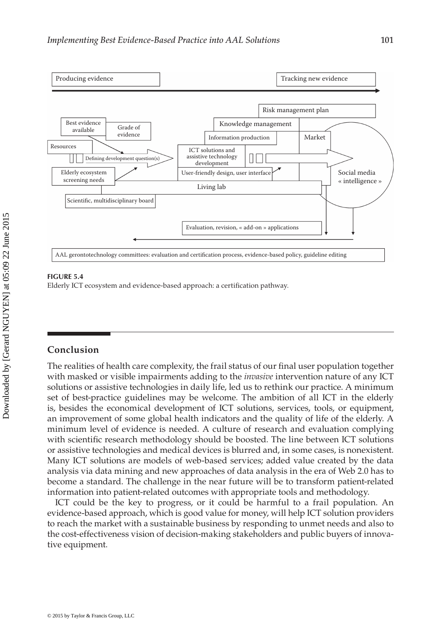<span id="page-14-0"></span>

#### **Figure 5.4**

Elderly ICT ecosystem and evidence-based approach: a certification pathway.

#### **Conclusion**

The realities of health care complexity, the frail status of our final user population together with masked or visible impairments adding to the *invasive* intervention nature of any ICT solutions or assistive technologies in daily life, led us to rethink our practice. A minimum set of best-practice guidelines may be welcome. The ambition of all ICT in the elderly is, besides the economical development of ICT solutions, services, tools, or equipment, an improvement of some global health indicators and the quality of life of the elderly. A minimum level of evidence is needed. A culture of research and evaluation complying with scientific research methodology should be boosted. The line between ICT solutions or assistive technologies and medical devices is blurred and, in some cases, is nonexistent. Many ICT solutions are models of web-based services; added value created by the data analysis via data mining and new approaches of data analysis in the era of Web 2.0 has to become a standard. The challenge in the near future will be to transform patient-related information into patient-related outcomes with appropriate tools and methodology. CONTRESS TRIGURE 5.4<br>
Elderly ICT ecosystem and c<br>
COnclusion<br>
The realities of health with masked or visible<br>
solutions or assistive two set of best-practice gu<br>
is, besides the econom<br>
an improvement of solutions at<br>
an

ICT could be the key to progress, or it could be harmful to a frail population. An evidence-based approach, which is good value for money, will help ICT solution providers to reach the market with a sustainable business by responding to unmet needs and also to the cost-effectiveness vision of decision-making stakeholders and public buyers of innovative equipment.